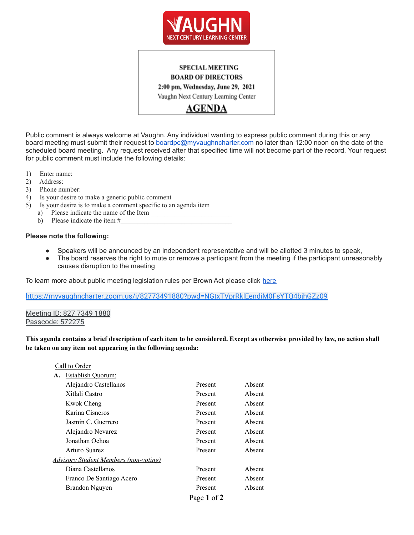

# **SPECIAL MEETING BOARD OF DIRECTORS**

2:00 pm, Wednesday, June 29, 2021

Vaughn Next Century Learning Center

AGENDA

Public comment is always welcome at Vaughn. Any individual wanting to express public comment during this or any board meeting must submit their request to boardpc@myvaughncharter.com no later than 12:00 noon on the date of the scheduled board meeting. Any request received after that specified time will not become part of the record. Your request for public comment must include the following details:

- 1) Enter name:
- 2) Address:
- 3) Phone number:
- 4) Is your desire to make a generic public comment
- 5) Is your desire is to make a comment specific to an agenda item
	- a) Please indicate the name of the Item
	- b) Please indicate the item  $#_2$

#### **Please note the following:**

- Speakers will be announced by an independent representative and will be allotted 3 minutes to speak,
- The board reserves the right to mute or remove a participant from the meeting if the participant unreasonably causes disruption to the meeting

To learn more about public meeting legislation rules per Brown Act please click [here](https://leginfo.legislature.ca.gov/faces/billTextClient.xhtml?bill_id=201520160AB1787)

<https://myvaughncharter.zoom.us/j/82773491880?pwd=NGtxTVprRklEendiM0FsYTQ4bjhGZz09>

Meeting ID: 827 7349 1880 Passcode: 572275

This agenda contains a brief description of each item to be considered. Except as otherwise provided by law, no action shall **be taken on any item not appearing in the following agenda:**

| Call to Order                                |                          |             |        |  |  |
|----------------------------------------------|--------------------------|-------------|--------|--|--|
| А.                                           | <b>Establish Ouorum:</b> |             |        |  |  |
|                                              | Alejandro Castellanos    | Present     | Absent |  |  |
|                                              | Xitlali Castro           | Present     | Absent |  |  |
|                                              | Kwok Cheng               | Present     | Absent |  |  |
|                                              | Karina Cisneros          | Present     | Absent |  |  |
|                                              | Jasmin C. Guerrero       | Present     | Absent |  |  |
|                                              | Alejandro Nevarez        | Present     | Absent |  |  |
|                                              | Jonathan Ochoa           | Present     | Absent |  |  |
|                                              | Arturo Suarez            | Present     | Absent |  |  |
| <b>Advisory Student Members (non-voting)</b> |                          |             |        |  |  |
|                                              | Diana Castellanos        | Present     | Absent |  |  |
|                                              | Franco De Santiago Acero | Present     | Absent |  |  |
|                                              | Brandon Nguyen           | Present     | Absent |  |  |
|                                              |                          | Page 1 of 2 |        |  |  |